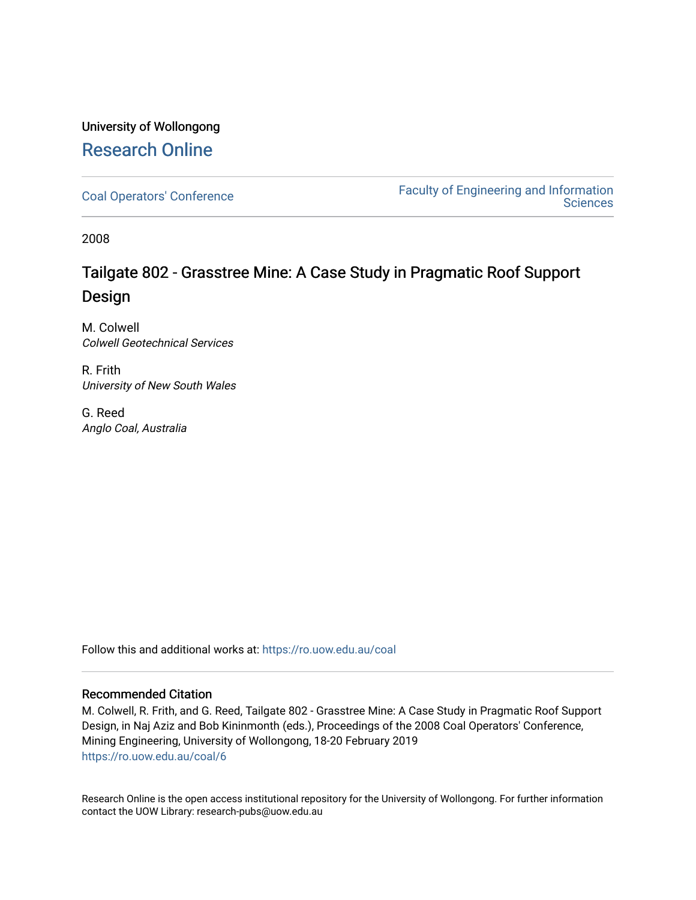# University of Wollongong [Research Online](https://ro.uow.edu.au/)

[Coal Operators' Conference](https://ro.uow.edu.au/coal) [Faculty of Engineering and Information](https://ro.uow.edu.au/eis)  **Sciences** 

2008

# Tailgate 802 - Grasstree Mine: A Case Study in Pragmatic Roof Support Design

M. Colwell Colwell Geotechnical Services

R. Frith University of New South Wales

G. Reed Anglo Coal, Australia

Follow this and additional works at: [https://ro.uow.edu.au/coal](https://ro.uow.edu.au/coal?utm_source=ro.uow.edu.au%2Fcoal%2F6&utm_medium=PDF&utm_campaign=PDFCoverPages) 

## Recommended Citation

M. Colwell, R. Frith, and G. Reed, Tailgate 802 - Grasstree Mine: A Case Study in Pragmatic Roof Support Design, in Naj Aziz and Bob Kininmonth (eds.), Proceedings of the 2008 Coal Operators' Conference, Mining Engineering, University of Wollongong, 18-20 February 2019 [https://ro.uow.edu.au/coal/6](https://ro.uow.edu.au/coal/6?utm_source=ro.uow.edu.au%2Fcoal%2F6&utm_medium=PDF&utm_campaign=PDFCoverPages)

Research Online is the open access institutional repository for the University of Wollongong. For further information contact the UOW Library: research-pubs@uow.edu.au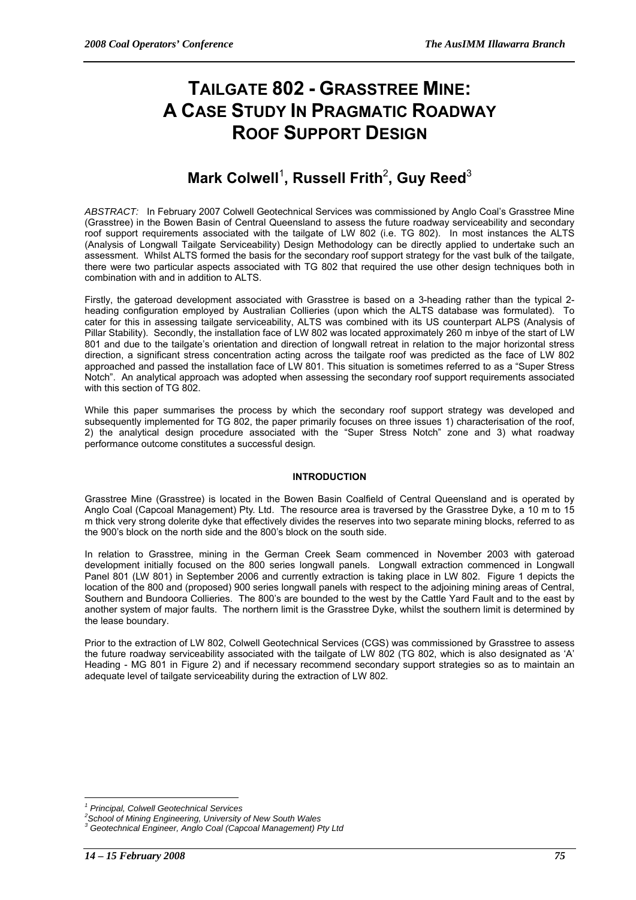# **TAILGATE 802 - GRASSTREE MINE: A CASE STUDY IN PRAGMATIC ROADWAY ROOF SUPPORT DESIGN**

# **Mark Colwell<sup>1</sup>, Russell Frith<sup>2</sup>, Guy Reed<sup>3</sup>**

*ABSTRACT:* In February 2007 Colwell Geotechnical Services was commissioned by Anglo Coal's Grasstree Mine (Grasstree) in the Bowen Basin of Central Queensland to assess the future roadway serviceability and secondary roof support requirements associated with the tailgate of LW 802 (i.e. TG 802). In most instances the ALTS (Analysis of Longwall Tailgate Serviceability) Design Methodology can be directly applied to undertake such an assessment. Whilst ALTS formed the basis for the secondary roof support strategy for the vast bulk of the tailgate, there were two particular aspects associated with TG 802 that required the use other design techniques both in combination with and in addition to ALTS.

Firstly, the gateroad development associated with Grasstree is based on a 3-heading rather than the typical 2 heading configuration employed by Australian Collieries (upon which the ALTS database was formulated). To cater for this in assessing tailgate serviceability, ALTS was combined with its US counterpart ALPS (Analysis of Pillar Stability). Secondly, the installation face of LW 802 was located approximately 260 m inbye of the start of LW 801 and due to the tailgate's orientation and direction of longwall retreat in relation to the major horizontal stress direction, a significant stress concentration acting across the tailgate roof was predicted as the face of LW 802 approached and passed the installation face of LW 801. This situation is sometimes referred to as a "Super Stress Notch". An analytical approach was adopted when assessing the secondary roof support requirements associated with this section of TG 802.

While this paper summarises the process by which the secondary roof support strategy was developed and subsequently implemented for TG 802, the paper primarily focuses on three issues 1) characterisation of the roof, 2) the analytical design procedure associated with the "Super Stress Notch" zone and 3) what roadway performance outcome constitutes a successful design*.* 

## **INTRODUCTION**

Grasstree Mine (Grasstree) is located in the Bowen Basin Coalfield of Central Queensland and is operated by Anglo Coal (Capcoal Management) Pty. Ltd. The resource area is traversed by the Grasstree Dyke, a 10 m to 15 m thick very strong dolerite dyke that effectively divides the reserves into two separate mining blocks, referred to as the 900's block on the north side and the 800's block on the south side.

In relation to Grasstree, mining in the German Creek Seam commenced in November 2003 with gateroad development initially focused on the 800 series longwall panels. Longwall extraction commenced in Longwall Panel 801 (LW 801) in September 2006 and currently extraction is taking place in LW 802. Figure 1 depicts the location of the 800 and (proposed) 900 series longwall panels with respect to the adjoining mining areas of Central, Southern and Bundoora Collieries. The 800's are bounded to the west by the Cattle Yard Fault and to the east by another system of major faults. The northern limit is the Grasstree Dyke, whilst the southern limit is determined by the lease boundary.

Prior to the extraction of LW 802, Colwell Geotechnical Services (CGS) was commissioned by Grasstree to assess the future roadway serviceability associated with the tailgate of LW 802 (TG 802, which is also designated as 'A' Heading - MG 801 in Figure 2) and if necessary recommend secondary support strategies so as to maintain an adequate level of tailgate serviceability during the extraction of LW 802.

 $\overline{a}$ *1 Principal, Colwell Geotechnical Services* 

*<sup>2</sup> School of Mining Engineering, University of New South Wales 3*

*Geotechnical Engineer, Anglo Coal (Capcoal Management) Pty Ltd*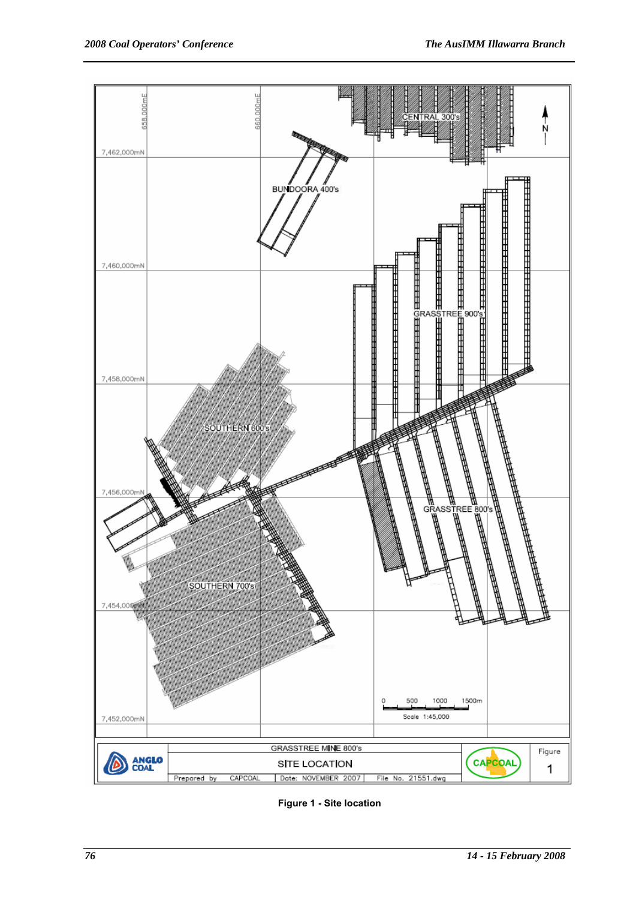

**Figure 1 - Site location**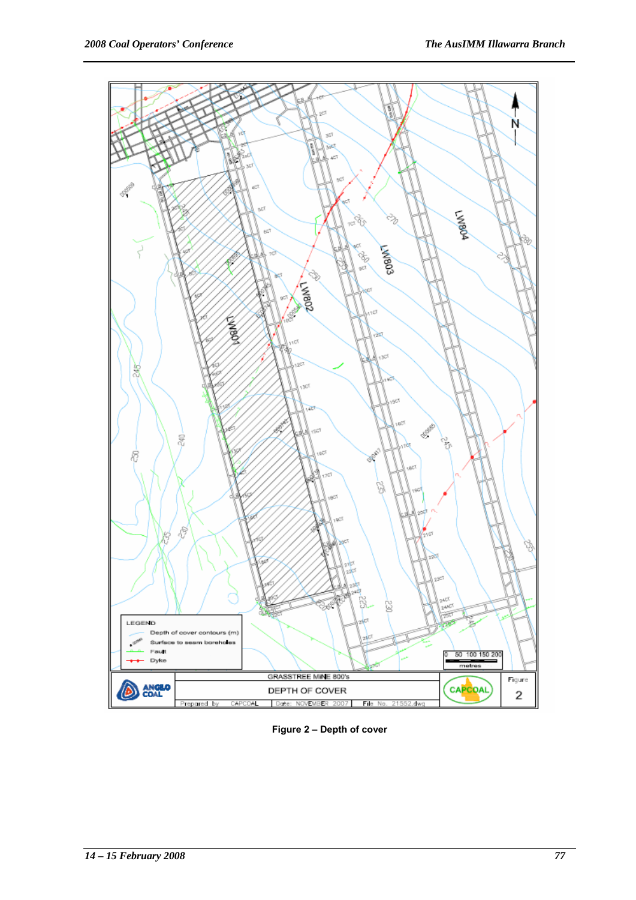

**Figure 2 – Depth of cover**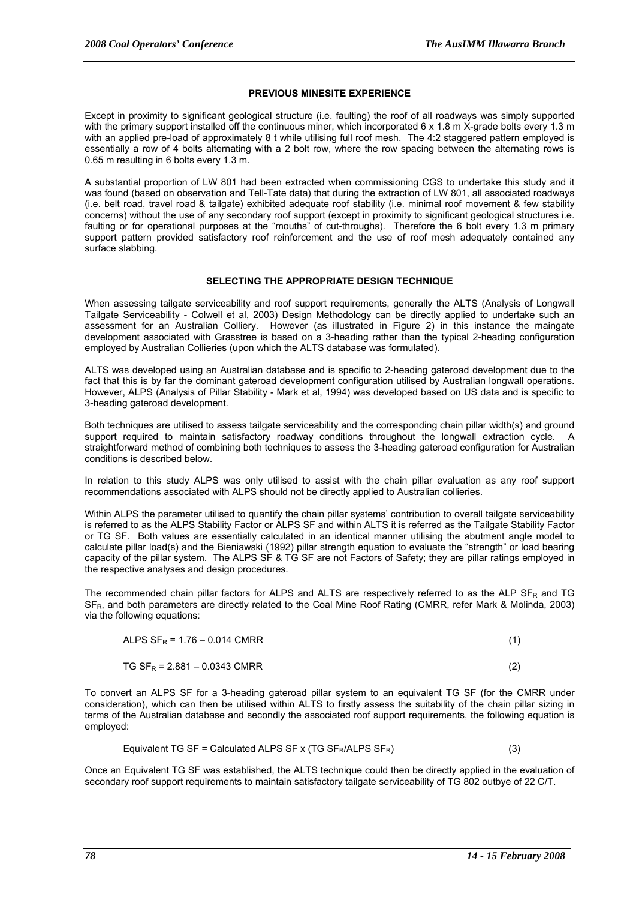## **PREVIOUS MINESITE EXPERIENCE**

Except in proximity to significant geological structure (i.e. faulting) the roof of all roadways was simply supported with the primary support installed off the continuous miner, which incorporated 6 x 1.8 m X-grade bolts every 1.3 m with an applied pre-load of approximately 8 t while utilising full roof mesh. The 4:2 staggered pattern employed is essentially a row of 4 bolts alternating with a 2 bolt row, where the row spacing between the alternating rows is 0.65 m resulting in 6 bolts every 1.3 m.

A substantial proportion of LW 801 had been extracted when commissioning CGS to undertake this study and it was found (based on observation and Tell-Tate data) that during the extraction of LW 801, all associated roadways (i.e. belt road, travel road & tailgate) exhibited adequate roof stability (i.e. minimal roof movement & few stability concerns) without the use of any secondary roof support (except in proximity to significant geological structures i.e. faulting or for operational purposes at the "mouths" of cut-throughs). Therefore the 6 bolt every 1.3 m primary support pattern provided satisfactory roof reinforcement and the use of roof mesh adequately contained any surface slabbing.

## **SELECTING THE APPROPRIATE DESIGN TECHNIQUE**

When assessing tailgate serviceability and roof support requirements, generally the ALTS (Analysis of Longwall Tailgate Serviceability - Colwell et al, 2003) Design Methodology can be directly applied to undertake such an assessment for an Australian Colliery. However (as illustrated in Figure 2) in this instance the maingate development associated with Grasstree is based on a 3-heading rather than the typical 2-heading configuration employed by Australian Collieries (upon which the ALTS database was formulated).

ALTS was developed using an Australian database and is specific to 2-heading gateroad development due to the fact that this is by far the dominant gateroad development configuration utilised by Australian longwall operations. However, ALPS (Analysis of Pillar Stability - Mark et al, 1994) was developed based on US data and is specific to 3-heading gateroad development.

Both techniques are utilised to assess tailgate serviceability and the corresponding chain pillar width(s) and ground support required to maintain satisfactory roadway conditions throughout the longwall extraction cycle. A straightforward method of combining both techniques to assess the 3-heading gateroad configuration for Australian conditions is described below.

In relation to this study ALPS was only utilised to assist with the chain pillar evaluation as any roof support recommendations associated with ALPS should not be directly applied to Australian collieries.

Within ALPS the parameter utilised to quantify the chain pillar systems' contribution to overall tailgate serviceability is referred to as the ALPS Stability Factor or ALPS SF and within ALTS it is referred as the Tailgate Stability Factor or TG SF. Both values are essentially calculated in an identical manner utilising the abutment angle model to calculate pillar load(s) and the Bieniawski (1992) pillar strength equation to evaluate the "strength" or load bearing capacity of the pillar system. The ALPS SF & TG SF are not Factors of Safety; they are pillar ratings employed in the respective analyses and design procedures.

The recommended chain pillar factors for ALPS and ALTS are respectively referred to as the ALP  $SF_R$  and TG SF<sub>R</sub>, and both parameters are directly related to the Coal Mine Roof Rating (CMRR, refer Mark & Molinda, 2003) via the following equations:

| ALPS $SF_R = 1.76 - 0.014$ CMRR |     |  |
|---------------------------------|-----|--|
| $TG SF_R = 2.881 - 0.0343 CMRR$ | (2) |  |

To convert an ALPS SF for a 3-heading gateroad pillar system to an equivalent TG SF (for the CMRR under consideration), which can then be utilised within ALTS to firstly assess the suitability of the chain pillar sizing in terms of the Australian database and secondly the associated roof support requirements, the following equation is employed:

$$
Equivalent TG SF = Calculated ALPS SF x (TG SFR/ALPS SFR)
$$
 (3)

Once an Equivalent TG SF was established, the ALTS technique could then be directly applied in the evaluation of secondary roof support requirements to maintain satisfactory tailgate serviceability of TG 802 outbye of 22 C/T.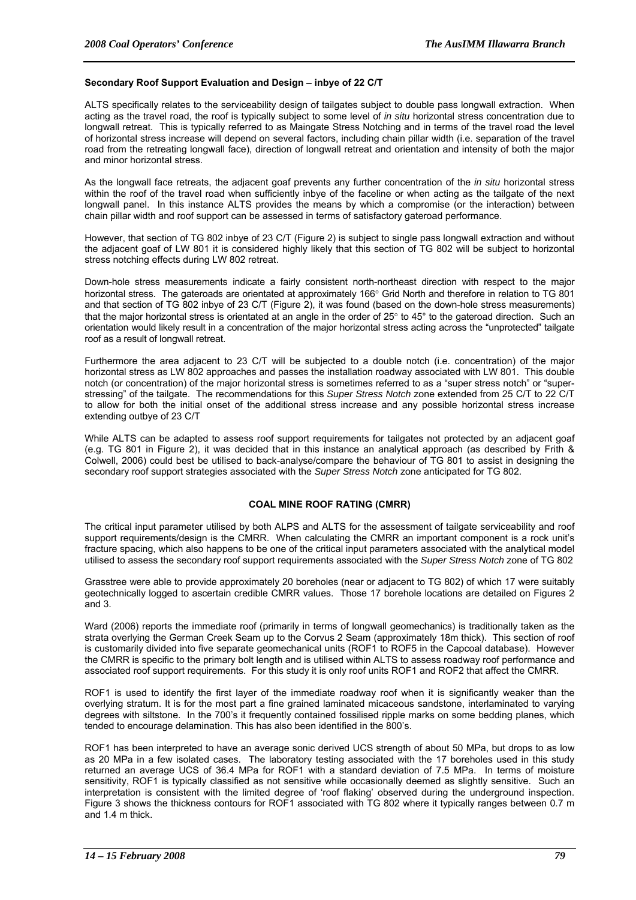#### **Secondary Roof Support Evaluation and Design – inbye of 22 C/T**

ALTS specifically relates to the serviceability design of tailgates subject to double pass longwall extraction. When acting as the travel road, the roof is typically subject to some level of *in situ* horizontal stress concentration due to longwall retreat. This is typically referred to as Maingate Stress Notching and in terms of the travel road the level of horizontal stress increase will depend on several factors, including chain pillar width (i.e. separation of the travel road from the retreating longwall face), direction of longwall retreat and orientation and intensity of both the major and minor horizontal stress.

As the longwall face retreats, the adjacent goaf prevents any further concentration of the *in situ* horizontal stress within the roof of the travel road when sufficiently inbye of the faceline or when acting as the tailgate of the next longwall panel. In this instance ALTS provides the means by which a compromise (or the interaction) between chain pillar width and roof support can be assessed in terms of satisfactory gateroad performance.

However, that section of TG 802 inbye of 23 C/T (Figure 2) is subject to single pass longwall extraction and without the adjacent goaf of LW 801 it is considered highly likely that this section of TG 802 will be subject to horizontal stress notching effects during LW 802 retreat.

Down-hole stress measurements indicate a fairly consistent north-northeast direction with respect to the major horizontal stress. The gateroads are orientated at approximately 166° Grid North and therefore in relation to TG 801 and that section of TG 802 inbye of 23 C/T (Figure 2), it was found (based on the down-hole stress measurements) that the major horizontal stress is orientated at an angle in the order of 25° to 45° to the gateroad direction. Such an orientation would likely result in a concentration of the major horizontal stress acting across the "unprotected" tailgate roof as a result of longwall retreat.

Furthermore the area adjacent to 23 C/T will be subjected to a double notch (i.e. concentration) of the major horizontal stress as LW 802 approaches and passes the installation roadway associated with LW 801. This double notch (or concentration) of the major horizontal stress is sometimes referred to as a "super stress notch" or "superstressing" of the tailgate. The recommendations for this *Super Stress Notch* zone extended from 25 C/T to 22 C/T to allow for both the initial onset of the additional stress increase and any possible horizontal stress increase extending outbye of 23 C/T

While ALTS can be adapted to assess roof support requirements for tailgates not protected by an adiacent goaf (e.g. TG 801 in Figure 2), it was decided that in this instance an analytical approach (as described by Frith & Colwell, 2006) could best be utilised to back-analyse/compare the behaviour of TG 801 to assist in designing the secondary roof support strategies associated with the *Super Stress Notch* zone anticipated for TG 802.

## **COAL MINE ROOF RATING (CMRR)**

The critical input parameter utilised by both ALPS and ALTS for the assessment of tailgate serviceability and roof support requirements/design is the CMRR. When calculating the CMRR an important component is a rock unit's fracture spacing, which also happens to be one of the critical input parameters associated with the analytical model utilised to assess the secondary roof support requirements associated with the *Super Stress Notch* zone of TG 802

Grasstree were able to provide approximately 20 boreholes (near or adjacent to TG 802) of which 17 were suitably geotechnically logged to ascertain credible CMRR values. Those 17 borehole locations are detailed on Figures 2 and 3.

Ward (2006) reports the immediate roof (primarily in terms of longwall geomechanics) is traditionally taken as the strata overlying the German Creek Seam up to the Corvus 2 Seam (approximately 18m thick). This section of roof is customarily divided into five separate geomechanical units (ROF1 to ROF5 in the Capcoal database). However the CMRR is specific to the primary bolt length and is utilised within ALTS to assess roadway roof performance and associated roof support requirements. For this study it is only roof units ROF1 and ROF2 that affect the CMRR.

ROF1 is used to identify the first layer of the immediate roadway roof when it is significantly weaker than the overlying stratum. It is for the most part a fine grained laminated micaceous sandstone, interlaminated to varying degrees with siltstone. In the 700's it frequently contained fossilised ripple marks on some bedding planes, which tended to encourage delamination. This has also been identified in the 800's.

ROF1 has been interpreted to have an average sonic derived UCS strength of about 50 MPa, but drops to as low as 20 MPa in a few isolated cases. The laboratory testing associated with the 17 boreholes used in this study returned an average UCS of 36.4 MPa for ROF1 with a standard deviation of 7.5 MPa. In terms of moisture sensitivity, ROF1 is typically classified as not sensitive while occasionally deemed as slightly sensitive. Such an interpretation is consistent with the limited degree of 'roof flaking' observed during the underground inspection. Figure 3 shows the thickness contours for ROF1 associated with TG 802 where it typically ranges between 0.7 m and 1.4 m thick.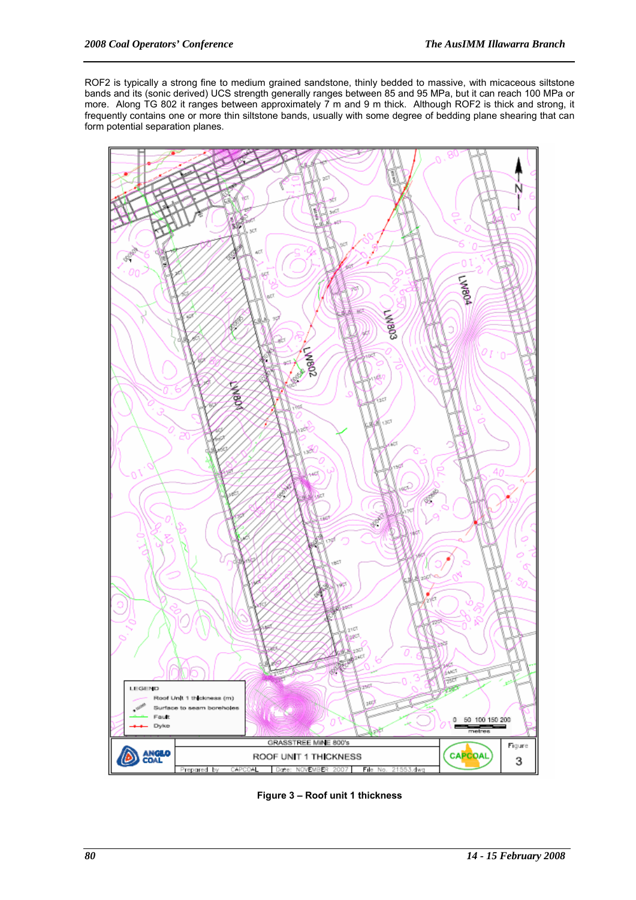ROF2 is typically a strong fine to medium grained sandstone, thinly bedded to massive, with micaceous siltstone bands and its (sonic derived) UCS strength generally ranges between 85 and 95 MPa, but it can reach 100 MPa or more. Along TG 802 it ranges between approximately 7 m and 9 m thick. Although ROF2 is thick and strong, it frequently contains one or more thin siltstone bands, usually with some degree of bedding plane shearing that can form potential separation planes.



**Figure 3 – Roof unit 1 thickness**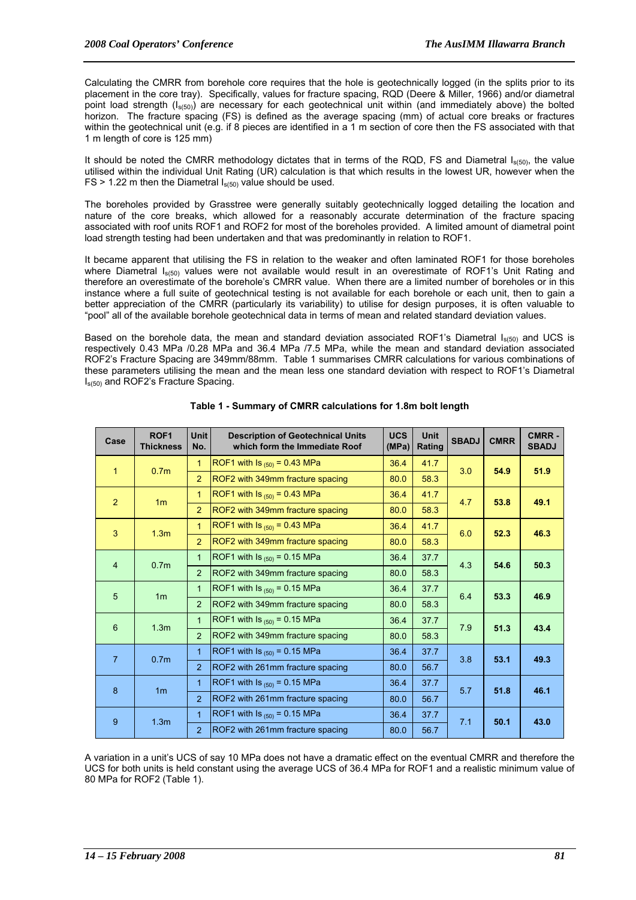Calculating the CMRR from borehole core requires that the hole is geotechnically logged (in the splits prior to its placement in the core tray). Specifically, values for fracture spacing, RQD (Deere & Miller, 1966) and/or diametral point load strength (I<sub>s(50)</sub>) are necessary for each geotechnical unit within (and immediately above) the bolted horizon. The fracture spacing (FS) is defined as the average spacing (mm) of actual core breaks or fractures within the geotechnical unit (e.g. if 8 pieces are identified in a 1 m section of core then the FS associated with that 1 m length of core is 125 mm)

It should be noted the CMRR methodology dictates that in terms of the RQD, FS and Diametral  $I_{s(50)}$ , the value utilised within the individual Unit Rating (UR) calculation is that which results in the lowest UR, however when the  $FS > 1.22$  m then the Diametral  $I_{s(50)}$  value should be used.

The boreholes provided by Grasstree were generally suitably geotechnically logged detailing the location and nature of the core breaks, which allowed for a reasonably accurate determination of the fracture spacing associated with roof units ROF1 and ROF2 for most of the boreholes provided. A limited amount of diametral point load strength testing had been undertaken and that was predominantly in relation to ROF1.

It became apparent that utilising the FS in relation to the weaker and often laminated ROF1 for those boreholes where Diametral  $I_{s(50)}$  values were not available would result in an overestimate of ROF1's Unit Rating and therefore an overestimate of the borehole's CMRR value. When there are a limited number of boreholes or in this instance where a full suite of geotechnical testing is not available for each borehole or each unit, then to gain a better appreciation of the CMRR (particularly its variability) to utilise for design purposes, it is often valuable to "pool" all of the available borehole geotechnical data in terms of mean and related standard deviation values.

Based on the borehole data, the mean and standard deviation associated ROF1's Diametral  $I_{s(50)}$  and UCS is respectively 0.43 MPa /0.28 MPa and 36.4 MPa /7.5 MPa, while the mean and standard deviation associated ROF2's Fracture Spacing are 349mm/88mm. Table 1 summarises CMRR calculations for various combinations of these parameters utilising the mean and the mean less one standard deviation with respect to ROF1's Diametral Is(50) and ROF2's Fracture Spacing.

| Case            | ROF <sub>1</sub><br><b>Thickness</b> | <b>Unit</b><br>No. | <b>Description of Geotechnical Units</b><br>which form the Immediate Roof | <b>UCS</b><br>(MPa) | <b>Unit</b><br>Rating | <b>SBADJ</b> | <b>CMRR</b> | <b>CMRR-</b><br><b>SBADJ</b> |
|-----------------|--------------------------------------|--------------------|---------------------------------------------------------------------------|---------------------|-----------------------|--------------|-------------|------------------------------|
| $\mathbf{1}$    | 0.7 <sub>m</sub>                     | 1                  | ROF1 with $\text{ls}_{(50)} = 0.43 \text{ MPa}$                           | 36.4                | 41.7                  | 3.0          | 54.9        | 51.9                         |
|                 |                                      | $\overline{2}$     | ROF2 with 349mm fracture spacing                                          | 80.0                | 58.3                  |              |             |                              |
| $\overline{2}$  | 1 <sub>m</sub>                       | 1                  | ROF1 with $\text{Is}_{(50)} = 0.43 \text{ MPa}$                           | 36.4                | 41.7                  | 4.7          | 53.8        | 49.1                         |
|                 |                                      | $\overline{2}$     | ROF2 with 349mm fracture spacing                                          | 80.0                | 58.3                  |              |             |                              |
| $\overline{3}$  | 1.3 <sub>m</sub>                     | $\mathbf{1}$       | ROF1 with $\text{ls}_{(50)} = 0.43 \text{ MPa}$                           | 36.4                | 41.7                  | 6.0          | 52.3        | 46.3                         |
|                 |                                      | $\overline{2}$     | ROF2 with 349mm fracture spacing                                          | 80.0                | 58.3                  |              |             |                              |
| $\overline{4}$  | 0.7 <sub>m</sub>                     | $\mathbf{1}$       | ROF1 with $\text{ls}_{(50)} = 0.15 \text{ MPa}$                           | 36.4                | 37.7                  | 4.3          | 54.6        | 50.3                         |
|                 |                                      | $\overline{2}$     | ROF2 with 349mm fracture spacing                                          | 80.0                | 58.3                  |              |             |                              |
| 5               | 1 <sub>m</sub>                       | $\mathbf{1}$       | ROF1 with $\text{ls}_{(50)} = 0.15 \text{ MPa}$                           | 36.4                | 37.7                  | 6.4          | 53.3        | 46.9                         |
|                 |                                      | $\overline{2}$     | ROF2 with 349mm fracture spacing                                          | 80.0                | 58.3                  |              |             |                              |
| $6\phantom{1}6$ | 1.3 <sub>m</sub>                     | 1                  | ROF1 with $\text{ls}_{(50)} = 0.15 \text{ MPa}$                           | 36.4                | 37.7                  | 7.9          | 51.3        | 43.4                         |
|                 |                                      | $\overline{2}$     | ROF2 with 349mm fracture spacing                                          | 80.0                | 58.3                  |              |             |                              |
| $\overline{7}$  | 0.7 <sub>m</sub>                     | $\overline{1}$     | ROF1 with $\text{ls}_{(50)} = 0.15 \text{ MPa}$                           | 36.4                | 37.7                  | 3.8          | 53.1        | 49.3                         |
|                 |                                      | $\overline{2}$     | ROF2 with 261mm fracture spacing                                          | 80.0                | 56.7                  |              |             |                              |
| 8               | 1 <sub>m</sub>                       | 1                  | ROF1 with $\mathsf{ls}_{(50)} = 0.15$ MPa                                 | 36.4                | 37.7                  | 5.7          | 51.8        | 46.1                         |
|                 |                                      | $\overline{2}$     | ROF2 with 261mm fracture spacing                                          | 80.0                | 56.7                  |              |             |                              |
| 9               | 1.3 <sub>m</sub>                     | 1                  | ROF1 with Is $_{(50)}$ = 0.15 MPa                                         | 36.4                | 37.7                  | 7.1          | 50.1        | 43.0                         |
|                 |                                      | $\overline{2}$     | ROF2 with 261mm fracture spacing                                          | 80.0                | 56.7                  |              |             |                              |

## **Table 1 - Summary of CMRR calculations for 1.8m bolt length**

A variation in a unit's UCS of say 10 MPa does not have a dramatic effect on the eventual CMRR and therefore the UCS for both units is held constant using the average UCS of 36.4 MPa for ROF1 and a realistic minimum value of 80 MPa for ROF2 (Table 1).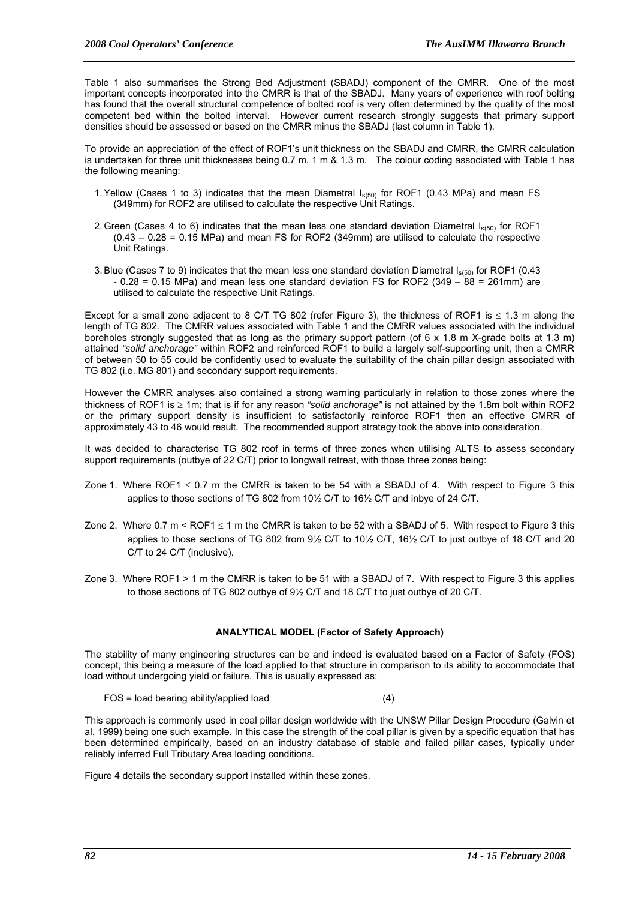Table 1 also summarises the Strong Bed Adjustment (SBADJ) component of the CMRR. One of the most important concepts incorporated into the CMRR is that of the SBADJ. Many years of experience with roof bolting has found that the overall structural competence of bolted roof is very often determined by the quality of the most competent bed within the bolted interval. However current research strongly suggests that primary support densities should be assessed or based on the CMRR minus the SBADJ (last column in Table 1).

To provide an appreciation of the effect of ROF1's unit thickness on the SBADJ and CMRR, the CMRR calculation is undertaken for three unit thicknesses being 0.7 m, 1 m & 1.3 m. The colour coding associated with Table 1 has the following meaning:

- 1. Yellow (Cases 1 to 3) indicates that the mean Diametral  $I_{s(50)}$  for ROF1 (0.43 MPa) and mean FS (349mm) for ROF2 are utilised to calculate the respective Unit Ratings.
- 2. Green (Cases 4 to 6) indicates that the mean less one standard deviation Diametral  $I_{s(50)}$  for ROF1 (0.43 – 0.28 = 0.15 MPa) and mean FS for ROF2 (349mm) are utilised to calculate the respective Unit Ratings.
- 3. Blue (Cases 7 to 9) indicates that the mean less one standard deviation Diametral  $I_{s(50)}$  for ROF1 (0.43  $-0.28 = 0.15$  MPa) and mean less one standard deviation FS for ROF2 (349 – 88 = 261mm) are utilised to calculate the respective Unit Ratings.

Except for a small zone adjacent to 8 C/T TG 802 (refer Figure 3), the thickness of ROF1 is  $\leq$  1.3 m along the length of TG 802. The CMRR values associated with Table 1 and the CMRR values associated with the individual boreholes strongly suggested that as long as the primary support pattern (of  $6 \times 1.8$  m X-grade bolts at 1.3 m) attained *"solid anchorage"* within ROF2 and reinforced ROF1 to build a largely self-supporting unit, then a CMRR of between 50 to 55 could be confidently used to evaluate the suitability of the chain pillar design associated with TG 802 (i.e. MG 801) and secondary support requirements.

However the CMRR analyses also contained a strong warning particularly in relation to those zones where the thickness of ROF1 is ≥ 1m; that is if for any reason *"solid anchorage"* is not attained by the 1.8m bolt within ROF2 or the primary support density is insufficient to satisfactorily reinforce ROF1 then an effective CMRR of approximately 43 to 46 would result. The recommended support strategy took the above into consideration.

It was decided to characterise TG 802 roof in terms of three zones when utilising ALTS to assess secondary support requirements (outbye of 22 C/T) prior to longwall retreat, with those three zones being:

- Zone 1. Where ROF1  $\leq$  0.7 m the CMRR is taken to be 54 with a SBADJ of 4. With respect to Figure 3 this applies to those sections of TG 802 from 10½ C/T to 16½ C/T and inbye of 24 C/T.
- Zone 2. Where 0.7 m < ROF1  $\leq$  1 m the CMRR is taken to be 52 with a SBADJ of 5. With respect to Figure 3 this applies to those sections of TG 802 from 9½ C/T to 10½ C/T, 16½ C/T to just outbye of 18 C/T and 20 C/T to 24 C/T (inclusive).
- Zone 3. Where ROF1 > 1 m the CMRR is taken to be 51 with a SBADJ of 7. With respect to Figure 3 this applies to those sections of TG 802 outbye of 9½ C/T and 18 C/T t to just outbye of 20 C/T.

## **ANALYTICAL MODEL (Factor of Safety Approach)**

The stability of many engineering structures can be and indeed is evaluated based on a Factor of Safety (FOS) concept, this being a measure of the load applied to that structure in comparison to its ability to accommodate that load without undergoing yield or failure. This is usually expressed as:

FOS = load bearing ability/applied load (4)

This approach is commonly used in coal pillar design worldwide with the UNSW Pillar Design Procedure (Galvin et al, 1999) being one such example. In this case the strength of the coal pillar is given by a specific equation that has been determined empirically, based on an industry database of stable and failed pillar cases, typically under reliably inferred Full Tributary Area loading conditions.

Figure 4 details the secondary support installed within these zones.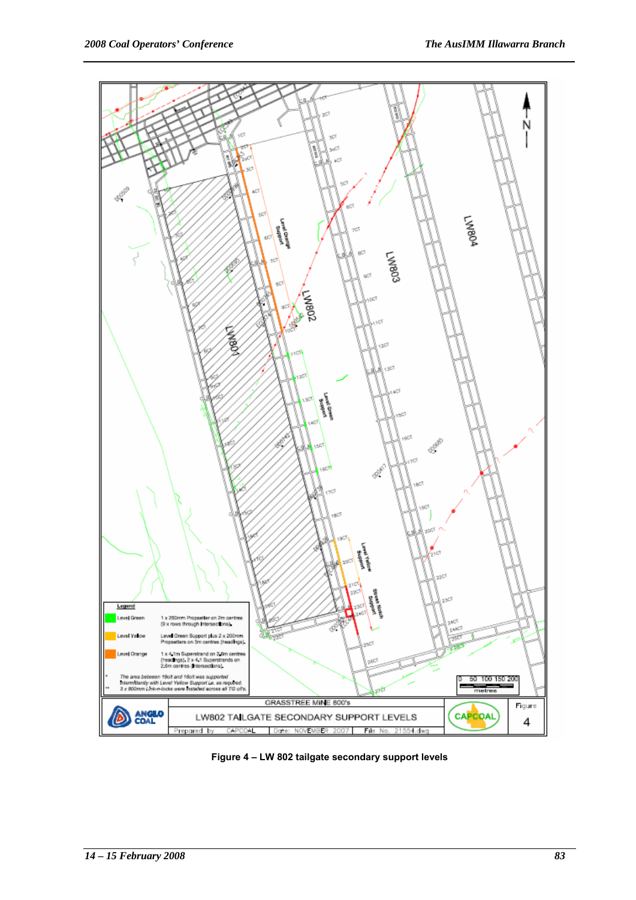

**Figure 4 – LW 802 tailgate secondary support levels**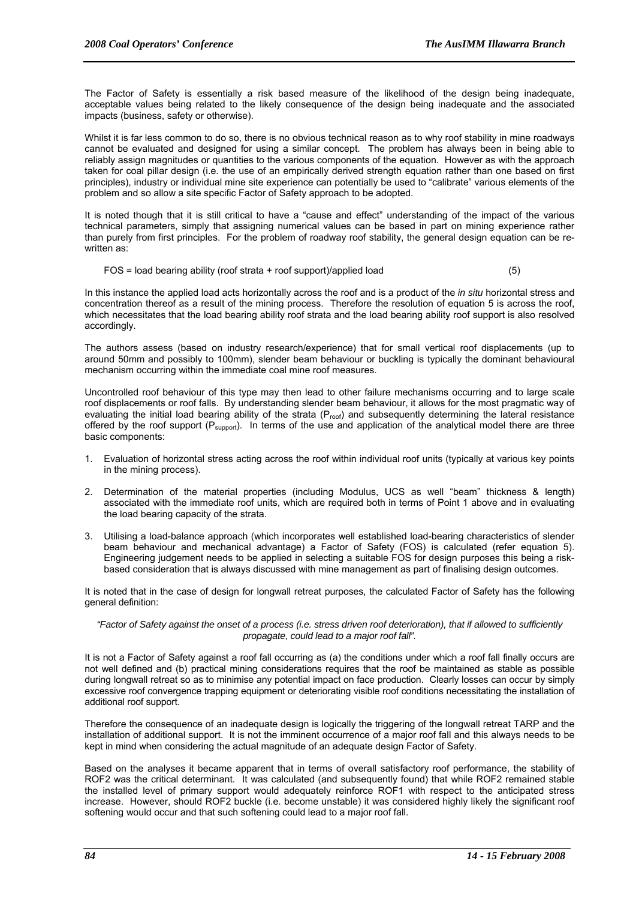The Factor of Safety is essentially a risk based measure of the likelihood of the design being inadequate, acceptable values being related to the likely consequence of the design being inadequate and the associated impacts (business, safety or otherwise).

Whilst it is far less common to do so, there is no obvious technical reason as to why roof stability in mine roadways cannot be evaluated and designed for using a similar concept. The problem has always been in being able to reliably assign magnitudes or quantities to the various components of the equation. However as with the approach taken for coal pillar design (i.e. the use of an empirically derived strength equation rather than one based on first principles), industry or individual mine site experience can potentially be used to "calibrate" various elements of the problem and so allow a site specific Factor of Safety approach to be adopted.

It is noted though that it is still critical to have a "cause and effect" understanding of the impact of the various technical parameters, simply that assigning numerical values can be based in part on mining experience rather than purely from first principles. For the problem of roadway roof stability, the general design equation can be rewritten as:

FOS = load bearing ability (roof strata + roof support)/applied load (5)

In this instance the applied load acts horizontally across the roof and is a product of the *in situ* horizontal stress and concentration thereof as a result of the mining process. Therefore the resolution of equation 5 is across the roof, which necessitates that the load bearing ability roof strata and the load bearing ability roof support is also resolved accordingly.

The authors assess (based on industry research/experience) that for small vertical roof displacements (up to around 50mm and possibly to 100mm), slender beam behaviour or buckling is typically the dominant behavioural mechanism occurring within the immediate coal mine roof measures.

Uncontrolled roof behaviour of this type may then lead to other failure mechanisms occurring and to large scale roof displacements or roof falls. By understanding slender beam behaviour, it allows for the most pragmatic way of evaluating the initial load bearing ability of the strata (Proof) and subsequently determining the lateral resistance offered by the roof support ( $P_{\text{support}}$ ). In terms of the use and application of the analytical model there are three basic components:

- 1. Evaluation of horizontal stress acting across the roof within individual roof units (typically at various key points in the mining process).
- 2. Determination of the material properties (including Modulus, UCS as well "beam" thickness & length) associated with the immediate roof units, which are required both in terms of Point 1 above and in evaluating the load bearing capacity of the strata.
- 3. Utilising a load-balance approach (which incorporates well established load-bearing characteristics of slender beam behaviour and mechanical advantage) a Factor of Safety (FOS) is calculated (refer equation 5). Engineering judgement needs to be applied in selecting a suitable FOS for design purposes this being a riskbased consideration that is always discussed with mine management as part of finalising design outcomes.

It is noted that in the case of design for longwall retreat purposes, the calculated Factor of Safety has the following general definition:

#### *"Factor of Safety against the onset of a process (i.e. stress driven roof deterioration), that if allowed to sufficiently propagate, could lead to a major roof fall".*

It is not a Factor of Safety against a roof fall occurring as (a) the conditions under which a roof fall finally occurs are not well defined and (b) practical mining considerations requires that the roof be maintained as stable as possible during longwall retreat so as to minimise any potential impact on face production. Clearly losses can occur by simply excessive roof convergence trapping equipment or deteriorating visible roof conditions necessitating the installation of additional roof support.

Therefore the consequence of an inadequate design is logically the triggering of the longwall retreat TARP and the installation of additional support. It is not the imminent occurrence of a major roof fall and this always needs to be kept in mind when considering the actual magnitude of an adequate design Factor of Safety.

Based on the analyses it became apparent that in terms of overall satisfactory roof performance, the stability of ROF2 was the critical determinant. It was calculated (and subsequently found) that while ROF2 remained stable the installed level of primary support would adequately reinforce ROF1 with respect to the anticipated stress increase. However, should ROF2 buckle (i.e. become unstable) it was considered highly likely the significant roof softening would occur and that such softening could lead to a major roof fall.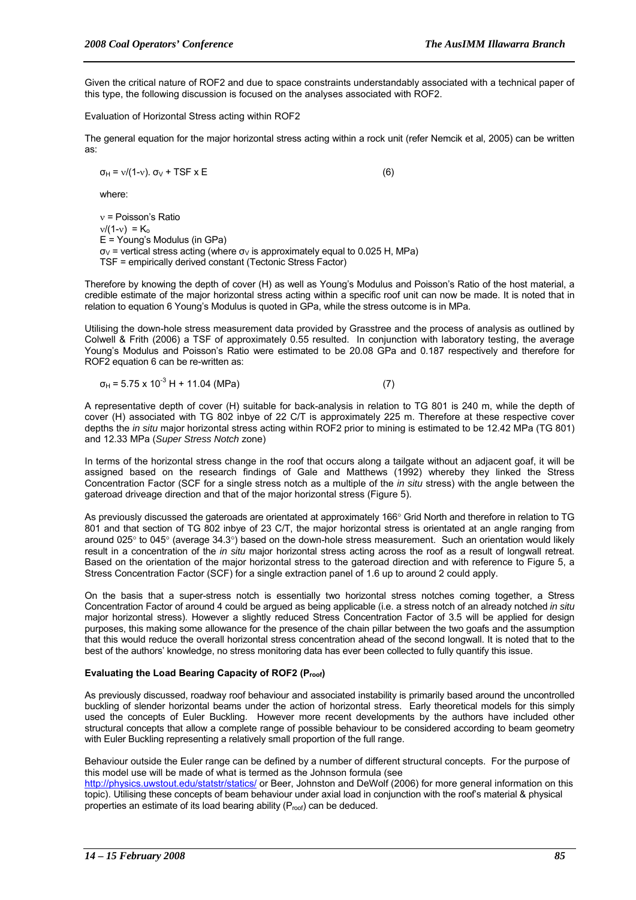Given the critical nature of ROF2 and due to space constraints understandably associated with a technical paper of this type, the following discussion is focused on the analyses associated with ROF2.

Evaluation of Horizontal Stress acting within ROF2

The general equation for the major horizontal stress acting within a rock unit (refer Nemcik et al, 2005) can be written as:

 $\sigma_H = v/(1-v)$ .  $\sigma_V$  + TSF x E (6)

where:

ν = Poisson's Ratio  $v/(1-v) = K_0$ E = Young's Modulus (in GPa)  $\sigma_V$  = vertical stress acting (where  $\sigma_V$  is approximately equal to 0.025 H, MPa) TSF = empirically derived constant (Tectonic Stress Factor)

Therefore by knowing the depth of cover (H) as well as Young's Modulus and Poisson's Ratio of the host material, a credible estimate of the major horizontal stress acting within a specific roof unit can now be made. It is noted that in relation to equation 6 Young's Modulus is quoted in GPa, while the stress outcome is in MPa.

Utilising the down-hole stress measurement data provided by Grasstree and the process of analysis as outlined by Colwell & Frith (2006) a TSF of approximately 0.55 resulted. In conjunction with laboratory testing, the average Young's Modulus and Poisson's Ratio were estimated to be 20.08 GPa and 0.187 respectively and therefore for ROF2 equation 6 can be re-written as:

$$
\sigma_{H} = 5.75 \times 10^{-3} \text{ H} + 11.04 \text{ (MPa)}
$$
 (7)

A representative depth of cover (H) suitable for back-analysis in relation to TG 801 is 240 m, while the depth of cover (H) associated with TG 802 inbye of 22 C/T is approximately 225 m. Therefore at these respective cover depths the *in situ* major horizontal stress acting within ROF2 prior to mining is estimated to be 12.42 MPa (TG 801) and 12.33 MPa (*Super Stress Notch* zone)

In terms of the horizontal stress change in the roof that occurs along a tailgate without an adjacent goaf, it will be assigned based on the research findings of Gale and Matthews (1992) whereby they linked the Stress Concentration Factor (SCF for a single stress notch as a multiple of the *in situ* stress) with the angle between the gateroad driveage direction and that of the major horizontal stress (Figure 5).

As previously discussed the gateroads are orientated at approximately 166° Grid North and therefore in relation to TG 801 and that section of TG 802 inbye of 23 C/T, the major horizontal stress is orientated at an angle ranging from around 025° to 045° (average 34.3°) based on the down-hole stress measurement. Such an orientation would likely result in a concentration of the *in situ* major horizontal stress acting across the roof as a result of longwall retreat. Based on the orientation of the major horizontal stress to the gateroad direction and with reference to Figure 5, a Stress Concentration Factor (SCF) for a single extraction panel of 1.6 up to around 2 could apply.

On the basis that a super-stress notch is essentially two horizontal stress notches coming together, a Stress Concentration Factor of around 4 could be argued as being applicable (i.e. a stress notch of an already notched *in situ* major horizontal stress). However a slightly reduced Stress Concentration Factor of 3.5 will be applied for design purposes, this making some allowance for the presence of the chain pillar between the two goafs and the assumption that this would reduce the overall horizontal stress concentration ahead of the second longwall. It is noted that to the best of the authors' knowledge, no stress monitoring data has ever been collected to fully quantify this issue.

## **Evaluating the Load Bearing Capacity of ROF2 (Proof)**

As previously discussed, roadway roof behaviour and associated instability is primarily based around the uncontrolled buckling of slender horizontal beams under the action of horizontal stress. Early theoretical models for this simply used the concepts of Euler Buckling. However more recent developments by the authors have included other structural concepts that allow a complete range of possible behaviour to be considered according to beam geometry with Euler Buckling representing a relatively small proportion of the full range.

Behaviour outside the Euler range can be defined by a number of different structural concepts. For the purpose of this model use will be made of what is termed as the Johnson formula (see

http://physics.uwstout.edu/statstr/statics/ or Beer, Johnston and DeWolf (2006) for more general information on this topic). Utilising these concepts of beam behaviour under axial load in conjunction with the roof's material & physical properties an estimate of its load bearing ability  $(P_{\text{root}})$  can be deduced.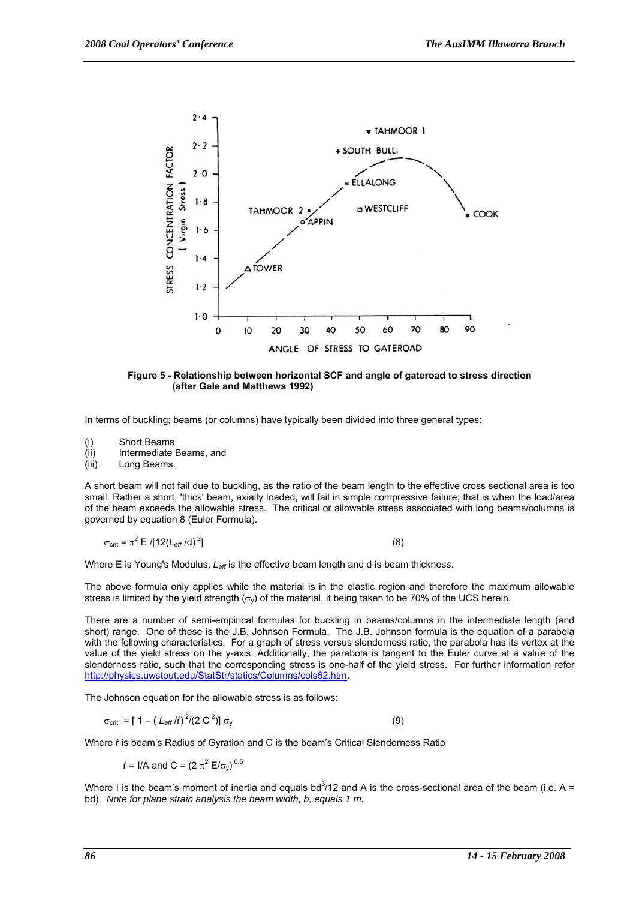

**Figure 5 - Relationship between horizontal SCF and angle of gateroad to stress direction (after Gale and Matthews 1992)** 

In terms of buckling; beams (or columns) have typically been divided into three general types:

- (i) Short Beams
- (ii) Intermediate Beams, and

(iii) Long Beams.

A short beam will not fail due to buckling, as the ratio of the beam length to the effective cross sectional area is too small. Rather a short, 'thick' beam, axially loaded, will fail in simple compressive failure; that is when the load/area of the beam exceeds the allowable stress. The critical or allowable stress associated with long beams/columns is governed by equation 8 (Euler Formula).

$$
\sigma_{\text{crit}} = \pi^2 \mathbb{E} \left[ 12 \left( L_{\text{eff}} / \text{d} \right)^2 \right] \tag{8}
$$

Where E is Young's Modulus,  $L_{\text{eff}}$  is the effective beam length and d is beam thickness.

The above formula only applies while the material is in the elastic region and therefore the maximum allowable stress is limited by the yield strength ( $\sigma_{\rm V}$ ) of the material, it being taken to be 70% of the UCS herein.

There are a number of semi-empirical formulas for buckling in beams/columns in the intermediate length (and short) range. One of these is the J.B. Johnson Formula. The J.B. Johnson formula is the equation of a parabola with the following characteristics. For a graph of stress versus slenderness ratio, the parabola has its vertex at the value of the yield stress on the y-axis. Additionally, the parabola is tangent to the Euler curve at a value of the slenderness ratio, such that the corresponding stress is one-half of the yield stress. For further information refer http://physics.uwstout.edu/StatStr/statics/Columns/cols62.htm.

The Johnson equation for the allowable stress is as follows:

 $σ_{\text{crit}} = [1 - (L_{\text{eff}}/f)^2/(2 C^2)] σ_y$  (9)

Where ŕ is beam's Radius of Gyration and C is the beam's Critical Slenderness Ratio

*f* = I/A and C = (2  $\pi^2$  E/σ<sub>y</sub>)<sup>0.5</sup>

Where I is the beam's moment of inertia and equals bd<sup>3</sup>/12 and A is the cross-sectional area of the beam (i.e. A = bd). *Note for plane strain analysis the beam width, b, equals 1 m.*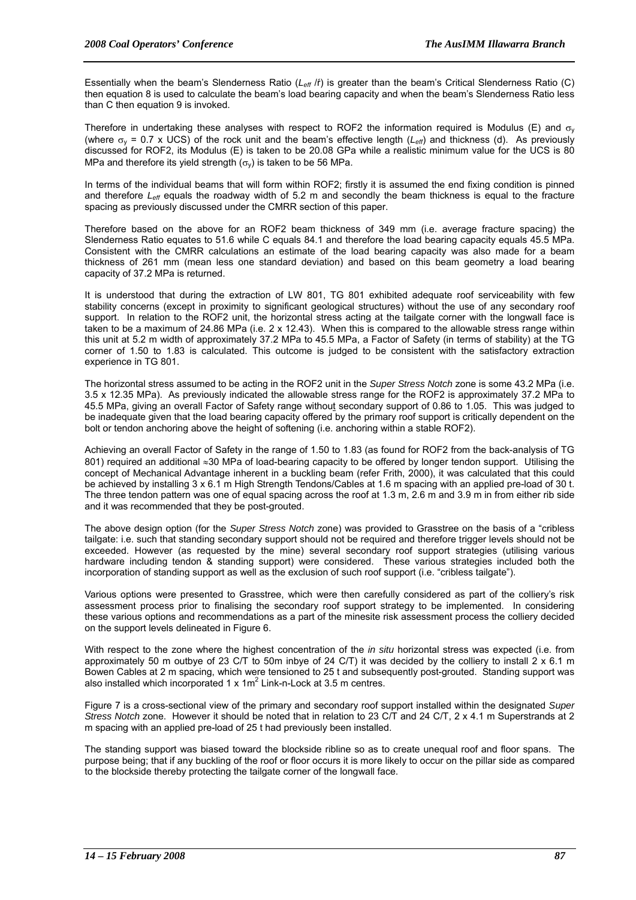Essentially when the beam's Slenderness Ratio (*Leff* /ŕ) is greater than the beam's Critical Slenderness Ratio (C) then equation 8 is used to calculate the beam's load bearing capacity and when the beam's Slenderness Ratio less than C then equation 9 is invoked.

Therefore in undertaking these analyses with respect to ROF2 the information required is Modulus (E) and  $\sigma_v$ (where  $\sigma_v$  = 0.7 x UCS) of the rock unit and the beam's effective length ( $L_{\text{eff}}$ ) and thickness (d). As previously discussed for ROF2, its Modulus (E) is taken to be 20.08 GPa while a realistic minimum value for the UCS is 80 MPa and therefore its yield strength  $(\sigma_v)$  is taken to be 56 MPa.

In terms of the individual beams that will form within ROF2; firstly it is assumed the end fixing condition is pinned and therefore *L<sub>eff</sub>* equals the roadway width of 5.2 m and secondly the beam thickness is equal to the fracture spacing as previously discussed under the CMRR section of this paper.

Therefore based on the above for an ROF2 beam thickness of 349 mm (i.e. average fracture spacing) the Slenderness Ratio equates to 51.6 while C equals 84.1 and therefore the load bearing capacity equals 45.5 MPa. Consistent with the CMRR calculations an estimate of the load bearing capacity was also made for a beam thickness of 261 mm (mean less one standard deviation) and based on this beam geometry a load bearing capacity of 37.2 MPa is returned.

It is understood that during the extraction of LW 801, TG 801 exhibited adequate roof serviceability with few stability concerns (except in proximity to significant geological structures) without the use of any secondary roof support. In relation to the ROF2 unit, the horizontal stress acting at the tailgate corner with the longwall face is taken to be a maximum of 24.86 MPa (i.e. 2 x 12.43). When this is compared to the allowable stress range within this unit at 5.2 m width of approximately 37.2 MPa to 45.5 MPa, a Factor of Safety (in terms of stability) at the TG corner of 1.50 to 1.83 is calculated. This outcome is judged to be consistent with the satisfactory extraction experience in TG 801.

The horizontal stress assumed to be acting in the ROF2 unit in the *Super Stress Notch* zone is some 43.2 MPa (i.e. 3.5 x 12.35 MPa). As previously indicated the allowable stress range for the ROF2 is approximately 37.2 MPa to 45.5 MPa, giving an overall Factor of Safety range without secondary support of 0.86 to 1.05. This was judged to be inadequate given that the load bearing capacity offered by the primary roof support is critically dependent on the bolt or tendon anchoring above the height of softening (i.e. anchoring within a stable ROF2).

Achieving an overall Factor of Safety in the range of 1.50 to 1.83 (as found for ROF2 from the back-analysis of TG 801) required an additional ≈30 MPa of load-bearing capacity to be offered by longer tendon support. Utilising the concept of Mechanical Advantage inherent in a buckling beam (refer Frith, 2000), it was calculated that this could be achieved by installing 3 x 6.1 m High Strength Tendons/Cables at 1.6 m spacing with an applied pre-load of 30 t. The three tendon pattern was one of equal spacing across the roof at 1.3 m, 2.6 m and 3.9 m in from either rib side and it was recommended that they be post-grouted.

The above design option (for the *Super Stress Notch* zone) was provided to Grasstree on the basis of a "cribless tailgate: i.e. such that standing secondary support should not be required and therefore trigger levels should not be exceeded. However (as requested by the mine) several secondary roof support strategies (utilising various hardware including tendon & standing support) were considered. These various strategies included both the incorporation of standing support as well as the exclusion of such roof support (i.e. "cribless tailgate").

Various options were presented to Grasstree, which were then carefully considered as part of the colliery's risk assessment process prior to finalising the secondary roof support strategy to be implemented. In considering these various options and recommendations as a part of the minesite risk assessment process the colliery decided on the support levels delineated in Figure 6.

With respect to the zone where the highest concentration of the *in situ* horizontal stress was expected (i.e. from approximately 50 m outbye of 23 C/T to 50m inbye of 24 C/T) it was decided by the colliery to install  $2 \times 6.1$  m Bowen Cables at 2 m spacing, which were tensioned to 25 t and subsequently post-grouted. Standing support was also installed which incorporated  $1 \times 1 \text{m}^2$  Link-n-Lock at 3.5 m centres.

Figure 7 is a cross-sectional view of the primary and secondary roof support installed within the designated *Super Stress Notch* zone. However it should be noted that in relation to 23 C/T and 24 C/T, 2 x 4.1 m Superstrands at 2 m spacing with an applied pre-load of 25 t had previously been installed.

The standing support was biased toward the blockside ribline so as to create unequal roof and floor spans. The purpose being; that if any buckling of the roof or floor occurs it is more likely to occur on the pillar side as compared to the blockside thereby protecting the tailgate corner of the longwall face.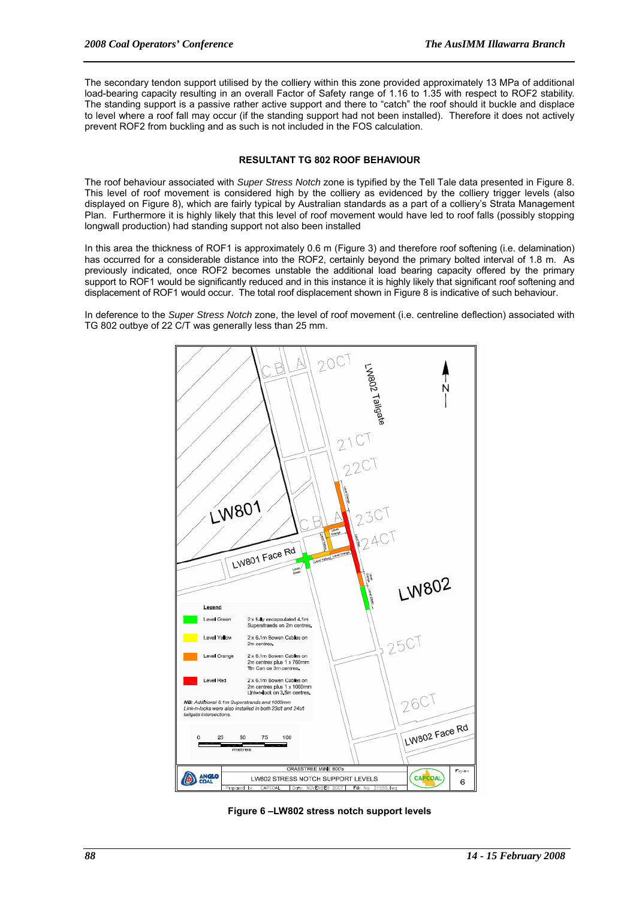The secondary tendon support utilised by the colliery within this zone provided approximately 13 MPa of additional load-bearing capacity resulting in an overall Factor of Safety range of 1.16 to 1.35 with respect to ROF2 stability. The standing support is a passive rather active support and there to "catch" the roof should it buckle and displace to level where a roof fall may occur (if the standing support had not been installed). Therefore it does not actively prevent ROF2 from buckling and as such is not included in the FOS calculation.

## **RESULTANT TG 802 ROOF BEHAVIOUR**

The roof behaviour associated with *Super Stress Notch* zone is typified by the Tell Tale data presented in Figure 8. This level of roof movement is considered high by the colliery as evidenced by the colliery trigger levels (also displayed on Figure 8), which are fairly typical by Australian standards as a part of a colliery's Strata Management Plan. Furthermore it is highly likely that this level of roof movement would have led to roof falls (possibly stopping longwall production) had standing support not also been installed

In this area the thickness of ROF1 is approximately 0.6 m (Figure 3) and therefore roof softening (i.e. delamination) has occurred for a considerable distance into the ROF2, certainly beyond the primary bolted interval of 1.8 m. As previously indicated, once ROF2 becomes unstable the additional load bearing capacity offered by the primary support to ROF1 would be significantly reduced and in this instance it is highly likely that significant roof softening and displacement of ROF1 would occur. The total roof displacement shown in Figure 8 is indicative of such behaviour.

In deference to the *Super Stress Notch* zone, the level of roof movement (i.e. centreline deflection) associated with TG 802 outbye of 22 C/T was generally less than 25 mm.



**Figure 6 –LW802 stress notch support levels**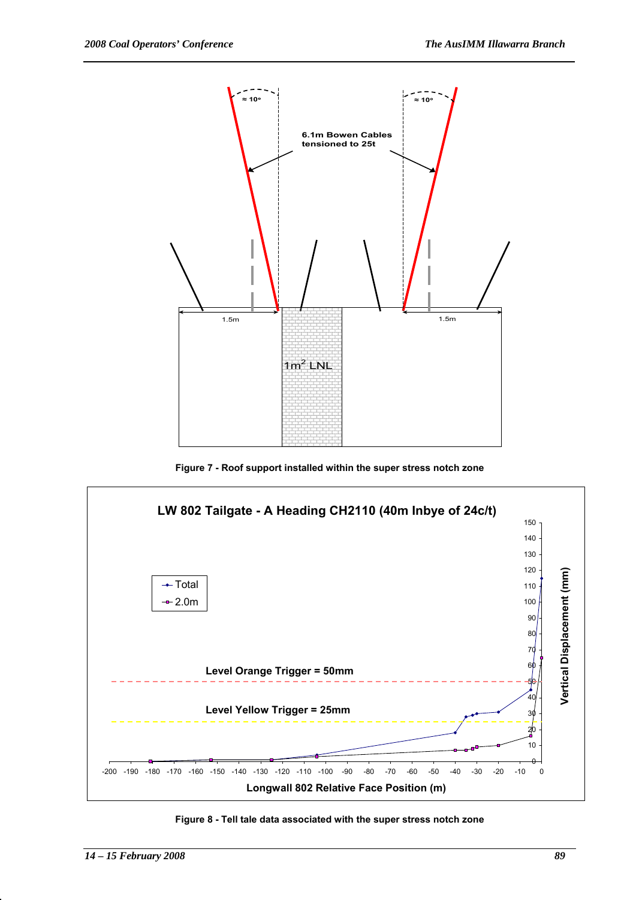

**Figure 7 - Roof support installed within the super stress notch zone**



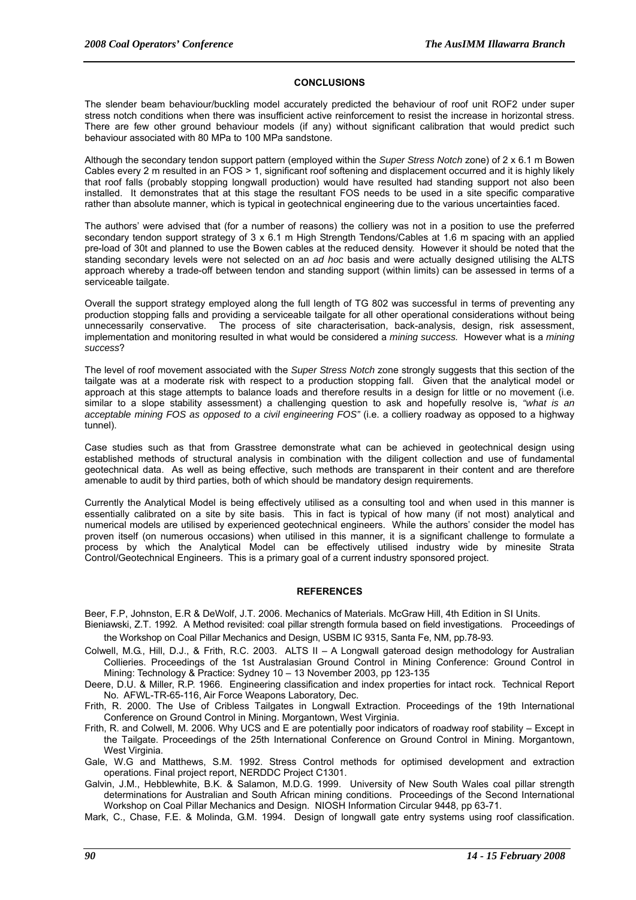#### **CONCLUSIONS**

The slender beam behaviour/buckling model accurately predicted the behaviour of roof unit ROF2 under super stress notch conditions when there was insufficient active reinforcement to resist the increase in horizontal stress. There are few other ground behaviour models (if any) without significant calibration that would predict such behaviour associated with 80 MPa to 100 MPa sandstone.

Although the secondary tendon support pattern (employed within the *Super Stress Notch* zone) of 2 x 6.1 m Bowen Cables every 2 m resulted in an FOS > 1, significant roof softening and displacement occurred and it is highly likely that roof falls (probably stopping longwall production) would have resulted had standing support not also been installed. It demonstrates that at this stage the resultant FOS needs to be used in a site specific comparative rather than absolute manner, which is typical in geotechnical engineering due to the various uncertainties faced.

The authors' were advised that (for a number of reasons) the colliery was not in a position to use the preferred secondary tendon support strategy of 3 x 6.1 m High Strength Tendons/Cables at 1.6 m spacing with an applied pre-load of 30t and planned to use the Bowen cables at the reduced density. However it should be noted that the standing secondary levels were not selected on an *ad hoc* basis and were actually designed utilising the ALTS approach whereby a trade-off between tendon and standing support (within limits) can be assessed in terms of a serviceable tailgate.

Overall the support strategy employed along the full length of TG 802 was successful in terms of preventing any production stopping falls and providing a serviceable tailgate for all other operational considerations without being unnecessarily conservative. The process of site characterisation, back-analysis, design, risk assessment, implementation and monitoring resulted in what would be considered a *mining success.* However what is a *mining success*?

The level of roof movement associated with the *Super Stress Notch* zone strongly suggests that this section of the tailgate was at a moderate risk with respect to a production stopping fall. Given that the analytical model or approach at this stage attempts to balance loads and therefore results in a design for little or no movement (i.e. similar to a slope stability assessment) a challenging question to ask and hopefully resolve is, *"what is an acceptable mining FOS as opposed to a civil engineering FOS"* (i.e. a colliery roadway as opposed to a highway tunnel).

Case studies such as that from Grasstree demonstrate what can be achieved in geotechnical design using established methods of structural analysis in combination with the diligent collection and use of fundamental geotechnical data. As well as being effective, such methods are transparent in their content and are therefore amenable to audit by third parties, both of which should be mandatory design requirements.

Currently the Analytical Model is being effectively utilised as a consulting tool and when used in this manner is essentially calibrated on a site by site basis. This in fact is typical of how many (if not most) analytical and numerical models are utilised by experienced geotechnical engineers. While the authors' consider the model has proven itself (on numerous occasions) when utilised in this manner, it is a significant challenge to formulate a process by which the Analytical Model can be effectively utilised industry wide by minesite Strata Control/Geotechnical Engineers. This is a primary goal of a current industry sponsored project.

#### **REFERENCES**

Beer, F.P, Johnston, E.R & DeWolf, J.T. 2006. Mechanics of Materials. McGraw Hill, 4th Edition in SI Units.

- Bieniawski, Z.T. 1992. A Method revisited: coal pillar strength formula based on field investigations. Proceedings of the Workshop on Coal Pillar Mechanics and Design, USBM IC 9315, Santa Fe, NM, pp.78-93.
- Colwell, M.G., Hill, D.J., & Frith, R.C. 2003. ALTS II A Longwall gateroad design methodology for Australian Collieries. Proceedings of the 1st Australasian Ground Control in Mining Conference: Ground Control in Mining: Technology & Practice: Sydney 10 – 13 November 2003, pp 123-135
- Deere, D.U. & Miller, R.P. 1966. Engineering classification and index properties for intact rock. Technical Report No. AFWL-TR-65-116, Air Force Weapons Laboratory, Dec.
- Frith, R. 2000. The Use of Cribless Tailgates in Longwall Extraction. Proceedings of the 19th International Conference on Ground Control in Mining. Morgantown, West Virginia.
- Frith, R. and Colwell, M. 2006. Why UCS and E are potentially poor indicators of roadway roof stability Except in the Tailgate. Proceedings of the 25th International Conference on Ground Control in Mining. Morgantown, West Virginia.
- Gale, W.G and Matthews, S.M. 1992. Stress Control methods for optimised development and extraction operations. Final project report, NERDDC Project C1301.
- Galvin, J.M., Hebblewhite, B.K. & Salamon, M.D.G. 1999. University of New South Wales coal pillar strength determinations for Australian and South African mining conditions. Proceedings of the Second International Workshop on Coal Pillar Mechanics and Design. NIOSH Information Circular 9448, pp 63-71.

Mark, C., Chase, F.E. & Molinda, G.M. 1994. Design of longwall gate entry systems using roof classification.